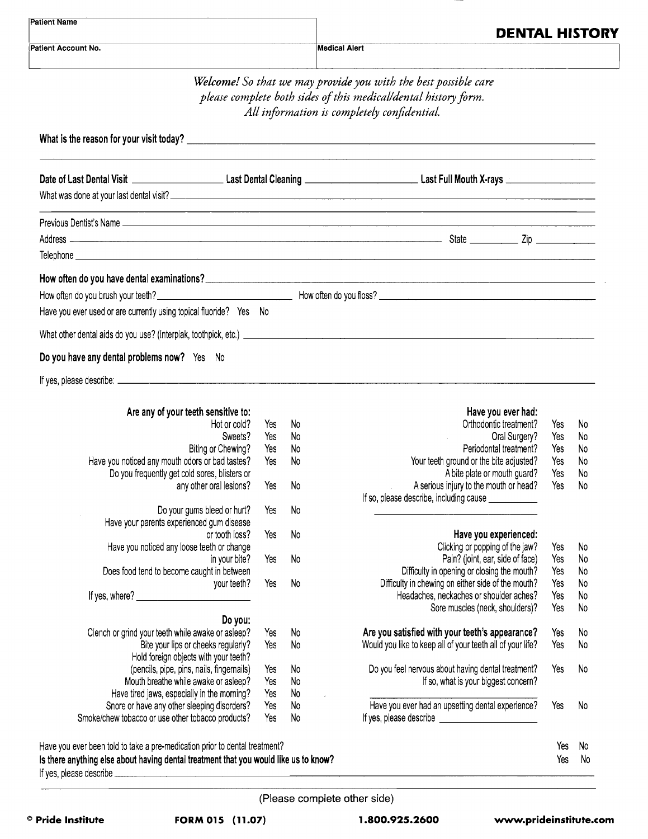| Patient Account No.                                                                              | <b>DENTAL HISTORY</b><br><b>Medical Alert</b> |           |                                                                                                                                                                                   |            |          |  |
|--------------------------------------------------------------------------------------------------|-----------------------------------------------|-----------|-----------------------------------------------------------------------------------------------------------------------------------------------------------------------------------|------------|----------|--|
|                                                                                                  |                                               |           | Welcome! So that we may provide you with the best possible care<br>please complete both sides of this medical/dental history form.<br>All information is completely confidential. |            |          |  |
|                                                                                                  |                                               |           |                                                                                                                                                                                   |            |          |  |
|                                                                                                  |                                               |           |                                                                                                                                                                                   |            |          |  |
|                                                                                                  |                                               |           | What was done at your last dental visit?                                                                                                                                          |            |          |  |
|                                                                                                  |                                               |           |                                                                                                                                                                                   |            |          |  |
|                                                                                                  |                                               |           |                                                                                                                                                                                   |            |          |  |
|                                                                                                  |                                               |           |                                                                                                                                                                                   |            |          |  |
| Have you ever used or are currently using topical fluoride? Yes No                               |                                               |           |                                                                                                                                                                                   |            |          |  |
|                                                                                                  |                                               |           |                                                                                                                                                                                   |            |          |  |
| Do you have any dental problems now? Yes No                                                      |                                               |           |                                                                                                                                                                                   |            |          |  |
|                                                                                                  |                                               |           |                                                                                                                                                                                   |            |          |  |
| Are any of your teeth sensitive to:                                                              |                                               |           | Have you ever had:                                                                                                                                                                |            |          |  |
| Hot or cold?                                                                                     | Yes                                           | - No      | Orthodontic treatment?                                                                                                                                                            | Yes        | No       |  |
| Sweets?                                                                                          | Yes                                           | - No      | Oral Surgery?                                                                                                                                                                     | Yes        | No       |  |
| Biting or Chewing?                                                                               | Yes                                           | - No      | Periodontal treatment?                                                                                                                                                            | Yes        | No       |  |
| Have you noticed any mouth odors or bad tastes?                                                  | Yes                                           | -No       | Your teeth ground or the bite adjusted?                                                                                                                                           | Yes        | No.      |  |
| Do you frequently get cold sores, blisters or                                                    |                                               |           | A bite plate or mouth guard?                                                                                                                                                      | Yes        | No.      |  |
| any other oral lesions?                                                                          | Yes                                           | No        | A serious injury to the mouth or head?                                                                                                                                            | Yes        | No       |  |
|                                                                                                  |                                               |           | If so, please describe, including cause ____________                                                                                                                              |            |          |  |
| Do your gums bleed or hurt?                                                                      | Yes                                           | No        |                                                                                                                                                                                   |            |          |  |
| Have your parents experienced gum disease                                                        |                                               |           |                                                                                                                                                                                   |            |          |  |
| or tooth loss?                                                                                   | Yes                                           | No        | Have you experienced:                                                                                                                                                             |            |          |  |
| Have you noticed any loose teeth or change                                                       |                                               |           | Clicking or popping of the jaw?                                                                                                                                                   | Yes        | No       |  |
| in your bite?<br>Does food tend to become caught in between                                      | Yes                                           | No        | Pain? (joint, ear, side of face)<br>Difficulty in opening or closing the mouth?                                                                                                   | Yes<br>Yes | No<br>No |  |
| your teeth?                                                                                      | Yes                                           | <b>No</b> | Difficulty in chewing on either side of the mouth?                                                                                                                                | Yes        | No       |  |
| If yes, where?                                                                                   |                                               |           | Headaches, neckaches or shoulder aches?                                                                                                                                           | Yes        | No       |  |
|                                                                                                  |                                               |           | Sore muscles (neck, shoulders)?                                                                                                                                                   | Yes        | No       |  |
| Do you:                                                                                          |                                               |           |                                                                                                                                                                                   |            |          |  |
| Clench or grind your teeth while awake or asleep?                                                | Yes                                           | No        | Are you satisfied with your teeth's appearance?                                                                                                                                   | Yes        | No       |  |
| Bite your lips or cheeks regularly?                                                              | Yes                                           | No        | Would you like to keep all of your teeth all of your life?                                                                                                                        | Yes        | No       |  |
| Hold foreign objects with your teeth?                                                            |                                               |           |                                                                                                                                                                                   |            |          |  |
| (pencils, pipe, pins, nails, fingernails)                                                        | Yes                                           | No        | Do you feel nervous about having dental treatment?                                                                                                                                | Yes        | No       |  |
| Mouth breathe while awake or asleep?                                                             | Yes                                           | No        | If so, what is your biggest concern?                                                                                                                                              |            |          |  |
| Have tired jaws, especially in the morning?                                                      | Yes                                           | No        |                                                                                                                                                                                   |            |          |  |
| Snore or have any other sleeping disorders?<br>Smoke/chew tobacco or use other tobacco products? | Yes<br>Yes                                    | No<br>No  | Have you ever had an upsetting dental experience?                                                                                                                                 | Yes        | No       |  |
|                                                                                                  |                                               |           |                                                                                                                                                                                   |            |          |  |
| Have you ever been told to take a pre-medication prior to dental treatment?                      |                                               |           |                                                                                                                                                                                   | Yes        | No       |  |
| Is there anything else about having dental treatment that you would like us to know?             |                                               |           |                                                                                                                                                                                   | Yes        | No       |  |

(Please complete other side)